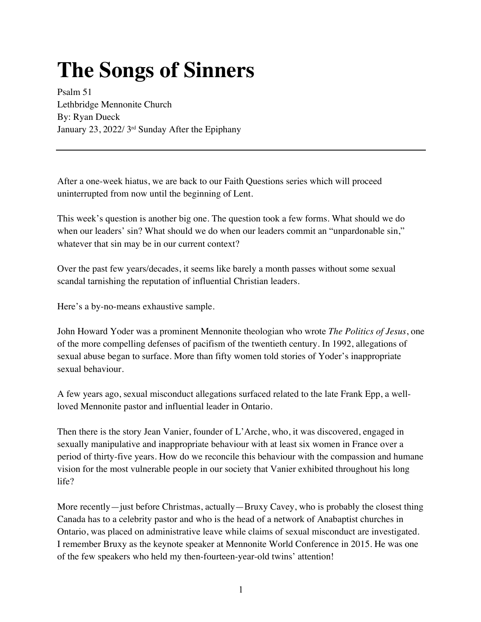# **The Songs of Sinners**

Psalm 51 Lethbridge Mennonite Church By: Ryan Dueck January 23, 2022/ 3rd Sunday After the Epiphany

After a one-week hiatus, we are back to our Faith Questions series which will proceed uninterrupted from now until the beginning of Lent.

This week's question is another big one. The question took a few forms. What should we do when our leaders' sin? What should we do when our leaders commit an "unpardonable sin," whatever that sin may be in our current context?

Over the past few years/decades, it seems like barely a month passes without some sexual scandal tarnishing the reputation of influential Christian leaders.

Here's a by-no-means exhaustive sample.

John Howard Yoder was a prominent Mennonite theologian who wrote *The Politics of Jesus*, one of the more compelling defenses of pacifism of the twentieth century. In 1992, allegations of sexual abuse began to surface. More than fifty women told stories of Yoder's inappropriate sexual behaviour.

A few years ago, sexual misconduct allegations surfaced related to the late Frank Epp, a wellloved Mennonite pastor and influential leader in Ontario.

Then there is the story Jean Vanier, founder of L'Arche, who, it was discovered, engaged in sexually manipulative and inappropriate behaviour with at least six women in France over a period of thirty-five years. How do we reconcile this behaviour with the compassion and humane vision for the most vulnerable people in our society that Vanier exhibited throughout his long life?

More recently—just before Christmas, actually—Bruxy Cavey, who is probably the closest thing Canada has to a celebrity pastor and who is the head of a network of Anabaptist churches in Ontario, was placed on administrative leave while claims of sexual misconduct are investigated. I remember Bruxy as the keynote speaker at Mennonite World Conference in 2015. He was one of the few speakers who held my then-fourteen-year-old twins' attention!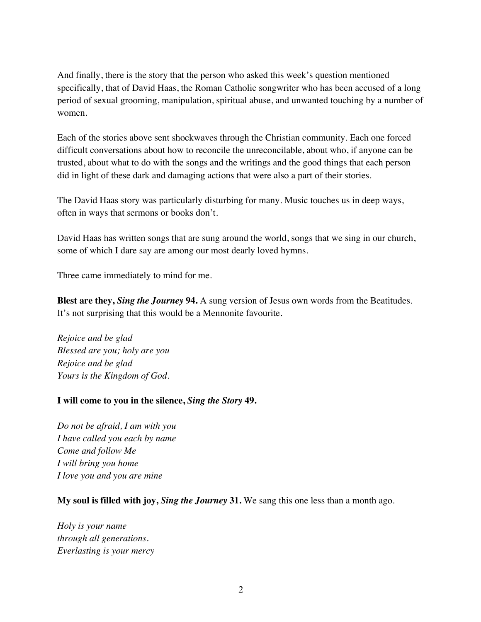And finally, there is the story that the person who asked this week's question mentioned specifically, that of David Haas, the Roman Catholic songwriter who has been accused of a long period of sexual grooming, manipulation, spiritual abuse, and unwanted touching by a number of women.

Each of the stories above sent shockwaves through the Christian community. Each one forced difficult conversations about how to reconcile the unreconcilable, about who, if anyone can be trusted, about what to do with the songs and the writings and the good things that each person did in light of these dark and damaging actions that were also a part of their stories.

The David Haas story was particularly disturbing for many. Music touches us in deep ways, often in ways that sermons or books don't.

David Haas has written songs that are sung around the world, songs that we sing in our church, some of which I dare say are among our most dearly loved hymns.

Three came immediately to mind for me.

**Blest are they,** *Sing the Journey* **94.** A sung version of Jesus own words from the Beatitudes. It's not surprising that this would be a Mennonite favourite.

*Rejoice and be glad Blessed are you; holy are you Rejoice and be glad Yours is the Kingdom of God.*

#### **I will come to you in the silence,** *Sing the Story* **49.**

*Do not be afraid, I am with you I have called you each by name Come and follow Me I will bring you home I love you and you are mine*

**My soul is filled with joy,** *Sing the Journey* **31.** We sang this one less than a month ago.

*Holy is your name through all generations. Everlasting is your mercy*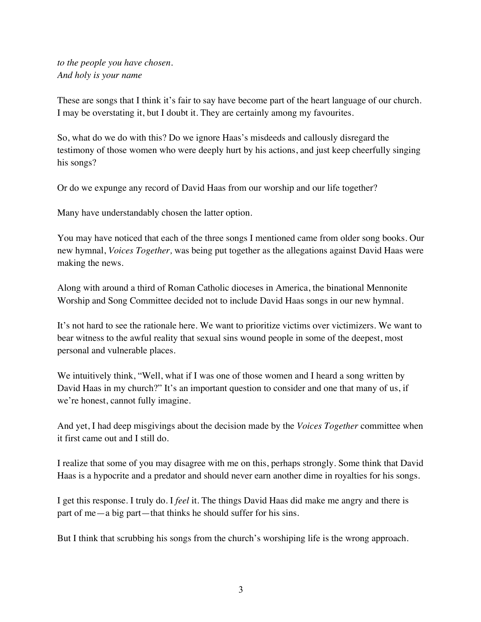*to the people you have chosen. And holy is your name*

These are songs that I think it's fair to say have become part of the heart language of our church. I may be overstating it, but I doubt it. They are certainly among my favourites.

So, what do we do with this? Do we ignore Haas's misdeeds and callously disregard the testimony of those women who were deeply hurt by his actions, and just keep cheerfully singing his songs?

Or do we expunge any record of David Haas from our worship and our life together?

Many have understandably chosen the latter option.

You may have noticed that each of the three songs I mentioned came from older song books. Our new hymnal, *Voices Together,* was being put together as the allegations against David Haas were making the news.

Along with around a third of Roman Catholic dioceses in America, the binational Mennonite Worship and Song Committee decided not to include David Haas songs in our new hymnal.

It's not hard to see the rationale here. We want to prioritize victims over victimizers. We want to bear witness to the awful reality that sexual sins wound people in some of the deepest, most personal and vulnerable places.

We intuitively think, "Well, what if I was one of those women and I heard a song written by David Haas in my church?" It's an important question to consider and one that many of us, if we're honest, cannot fully imagine.

And yet, I had deep misgivings about the decision made by the *Voices Together* committee when it first came out and I still do.

I realize that some of you may disagree with me on this, perhaps strongly. Some think that David Haas is a hypocrite and a predator and should never earn another dime in royalties for his songs.

I get this response. I truly do. I *feel* it. The things David Haas did make me angry and there is part of me—a big part—that thinks he should suffer for his sins.

But I think that scrubbing his songs from the church's worshiping life is the wrong approach.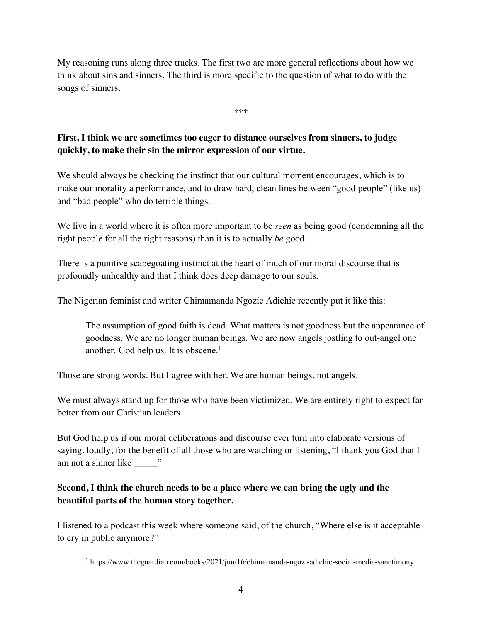My reasoning runs along three tracks. The first two are more general reflections about how we think about sins and sinners. The third is more specific to the question of what to do with the songs of sinners.

\*\*\*

## **First, I think we are sometimes too eager to distance ourselves from sinners, to judge quickly, to make their sin the mirror expression of our virtue.**

We should always be checking the instinct that our cultural moment encourages, which is to make our morality a performance, and to draw hard, clean lines between "good people" (like us) and "bad people" who do terrible things.

We live in a world where it is often more important to be *seen* as being good (condemning all the right people for all the right reasons) than it is to actually *be* good.

There is a punitive scapegoating instinct at the heart of much of our moral discourse that is profoundly unhealthy and that I think does deep damage to our souls.

The Nigerian feminist and writer Chimamanda Ngozie Adichie recently put it like this:

The assumption of good faith is dead. What matters is not goodness but the appearance of goodness. We are no longer human beings. We are now angels jostling to out-angel one another. God help us. It is obscene. $<sup>1</sup>$ </sup>

Those are strong words. But I agree with her. We are human beings, not angels.

We must always stand up for those who have been victimized. We are entirely right to expect far better from our Christian leaders.

But God help us if our moral deliberations and discourse ever turn into elaborate versions of saying, loudly, for the benefit of all those who are watching or listening, "I thank you God that I am not a sinner like  $\cdots$ 

## **Second, I think the church needs to be a place where we can bring the ugly and the beautiful parts of the human story together.**

I listened to a podcast this week where someone said, of the church, "Where else is it acceptable to cry in public anymore?"

<sup>1</sup> https://www.theguardian.com/books/2021/jun/16/chimamanda-ngozi-adichie-social-media-sanctimony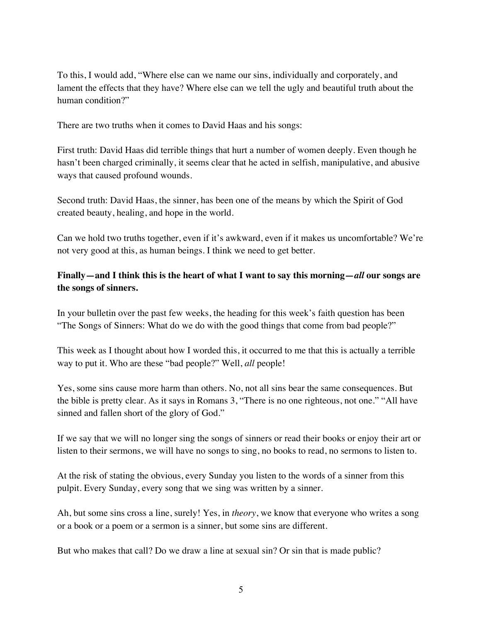To this, I would add, "Where else can we name our sins, individually and corporately, and lament the effects that they have? Where else can we tell the ugly and beautiful truth about the human condition?"

There are two truths when it comes to David Haas and his songs:

First truth: David Haas did terrible things that hurt a number of women deeply. Even though he hasn't been charged criminally, it seems clear that he acted in selfish, manipulative, and abusive ways that caused profound wounds.

Second truth: David Haas, the sinner, has been one of the means by which the Spirit of God created beauty, healing, and hope in the world.

Can we hold two truths together, even if it's awkward, even if it makes us uncomfortable? We're not very good at this, as human beings. I think we need to get better.

#### **Finally—and I think this is the heart of what I want to say this morning—***all* **our songs are the songs of sinners.**

In your bulletin over the past few weeks, the heading for this week's faith question has been "The Songs of Sinners: What do we do with the good things that come from bad people?"

This week as I thought about how I worded this, it occurred to me that this is actually a terrible way to put it. Who are these "bad people?" Well, *all* people!

Yes, some sins cause more harm than others. No, not all sins bear the same consequences. But the bible is pretty clear. As it says in Romans 3, "There is no one righteous, not one." "All have sinned and fallen short of the glory of God."

If we say that we will no longer sing the songs of sinners or read their books or enjoy their art or listen to their sermons, we will have no songs to sing, no books to read, no sermons to listen to.

At the risk of stating the obvious, every Sunday you listen to the words of a sinner from this pulpit. Every Sunday, every song that we sing was written by a sinner.

Ah, but some sins cross a line, surely! Yes, in *theory*, we know that everyone who writes a song or a book or a poem or a sermon is a sinner, but some sins are different.

But who makes that call? Do we draw a line at sexual sin? Or sin that is made public?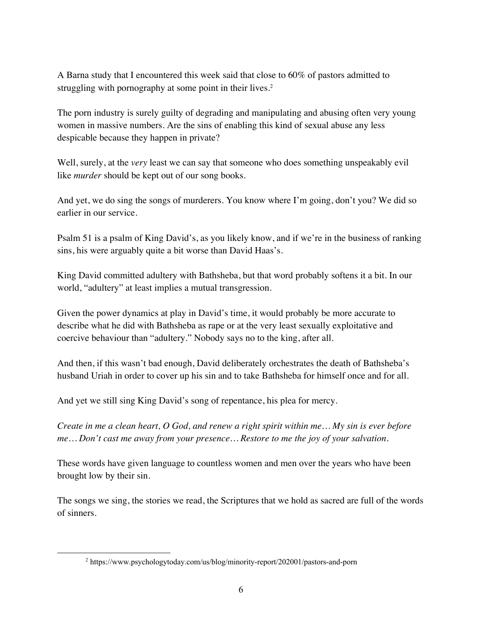A Barna study that I encountered this week said that close to 60% of pastors admitted to struggling with pornography at some point in their lives.<sup>2</sup>

The porn industry is surely guilty of degrading and manipulating and abusing often very young women in massive numbers. Are the sins of enabling this kind of sexual abuse any less despicable because they happen in private?

Well, surely, at the *very* least we can say that someone who does something unspeakably evil like *murder* should be kept out of our song books.

And yet, we do sing the songs of murderers. You know where I'm going, don't you? We did so earlier in our service.

Psalm 51 is a psalm of King David's, as you likely know, and if we're in the business of ranking sins, his were arguably quite a bit worse than David Haas's.

King David committed adultery with Bathsheba, but that word probably softens it a bit. In our world, "adultery" at least implies a mutual transgression.

Given the power dynamics at play in David's time, it would probably be more accurate to describe what he did with Bathsheba as rape or at the very least sexually exploitative and coercive behaviour than "adultery." Nobody says no to the king, after all.

And then, if this wasn't bad enough, David deliberately orchestrates the death of Bathsheba's husband Uriah in order to cover up his sin and to take Bathsheba for himself once and for all.

And yet we still sing King David's song of repentance, his plea for mercy.

*Create in me a clean heart, O God, and renew a right spirit within me… My sin is ever before me… Don't cast me away from your presence… Restore to me the joy of your salvation.* 

These words have given language to countless women and men over the years who have been brought low by their sin.

The songs we sing, the stories we read, the Scriptures that we hold as sacred are full of the words of sinners.

<sup>2</sup> https://www.psychologytoday.com/us/blog/minority-report/202001/pastors-and-porn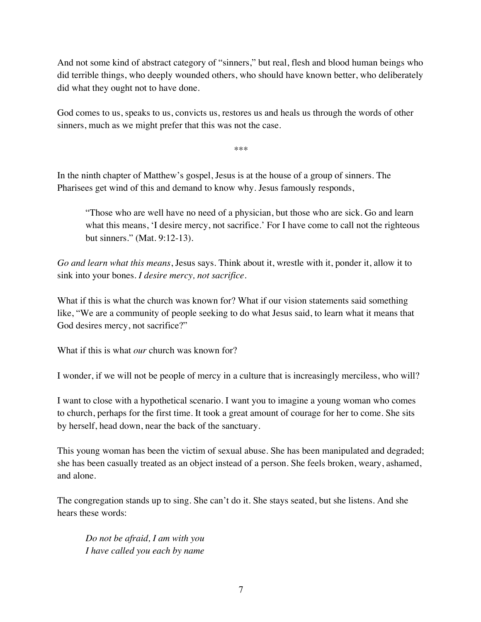And not some kind of abstract category of "sinners," but real, flesh and blood human beings who did terrible things, who deeply wounded others, who should have known better, who deliberately did what they ought not to have done.

God comes to us, speaks to us, convicts us, restores us and heals us through the words of other sinners, much as we might prefer that this was not the case.

\*\*\*

In the ninth chapter of Matthew's gospel, Jesus is at the house of a group of sinners. The Pharisees get wind of this and demand to know why. Jesus famously responds,

"Those who are well have no need of a physician, but those who are sick. Go and learn what this means, 'I desire mercy, not sacrifice.' For I have come to call not the righteous but sinners." (Mat. 9:12-13).

*Go and learn what this means*, Jesus says. Think about it, wrestle with it, ponder it, allow it to sink into your bones. *I desire mercy, not sacrifice.*

What if this is what the church was known for? What if our vision statements said something like, "We are a community of people seeking to do what Jesus said, to learn what it means that God desires mercy, not sacrifice?"

What if this is what *our* church was known for?

I wonder, if we will not be people of mercy in a culture that is increasingly merciless, who will?

I want to close with a hypothetical scenario. I want you to imagine a young woman who comes to church, perhaps for the first time. It took a great amount of courage for her to come. She sits by herself, head down, near the back of the sanctuary.

This young woman has been the victim of sexual abuse. She has been manipulated and degraded; she has been casually treated as an object instead of a person. She feels broken, weary, ashamed, and alone.

The congregation stands up to sing. She can't do it. She stays seated, but she listens. And she hears these words:

*Do not be afraid, I am with you I have called you each by name*